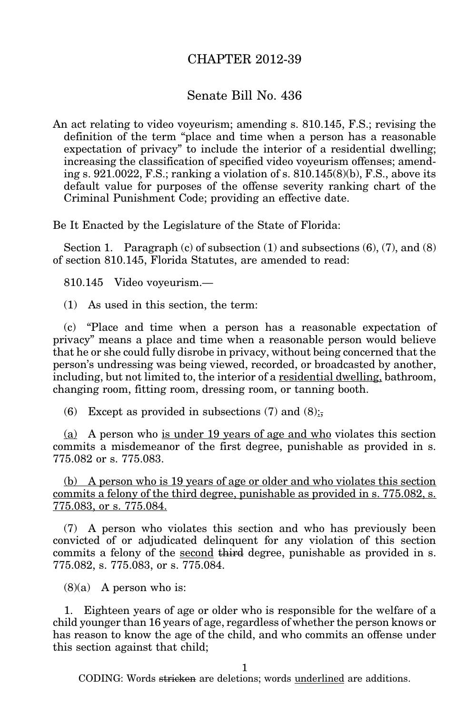## CHAPTER 2012-39

## Senate Bill No. 436

An act relating to video voyeurism; amending s. 810.145, F.S.; revising the definition of the term "place and time when a person has a reasonable expectation of privacy" to include the interior of a residential dwelling; increasing the classification of specified video voyeurism offenses; amending s. 921.0022, F.S.; ranking a violation of s. 810.145(8)(b), F.S., above its default value for purposes of the offense severity ranking chart of the Criminal Punishment Code; providing an effective date.

Be It Enacted by the Legislature of the State of Florida:

Section 1. Paragraph  $(c)$  of subsection  $(1)$  and subsections  $(6)$ ,  $(7)$ , and  $(8)$ of section 810.145, Florida Statutes, are amended to read:

810.145 Video voyeurism.—

(1) As used in this section, the term:

(c) "Place and time when a person has a reasonable expectation of privacy" means a place and time when a reasonable person would believe that he or she could fully disrobe in privacy, without being concerned that the person's undressing was being viewed, recorded, or broadcasted by another, including, but not limited to, the interior of a residential dwelling, bathroom, changing room, fitting room, dressing room, or tanning booth.

(6) Except as provided in subsections (7) and (8):

(a) A person who is under 19 years of age and who violates this section commits a misdemeanor of the first degree, punishable as provided in s. 775.082 or s. 775.083.

(b) A person who is 19 years of age or older and who violates this section commits a felony of the third degree, punishable as provided in s. 775.082, s. 775.083, or s. 775.084.

(7) A person who violates this section and who has previously been convicted of or adjudicated delinquent for any violation of this section commits a felony of the second third degree, punishable as provided in s. 775.082, s. 775.083, or s. 775.084.

 $(8)(a)$  A person who is:

1. Eighteen years of age or older who is responsible for the welfare of a child younger than 16 years of age, regardless of whether the person knows or has reason to know the age of the child, and who commits an offense under this section against that child;

1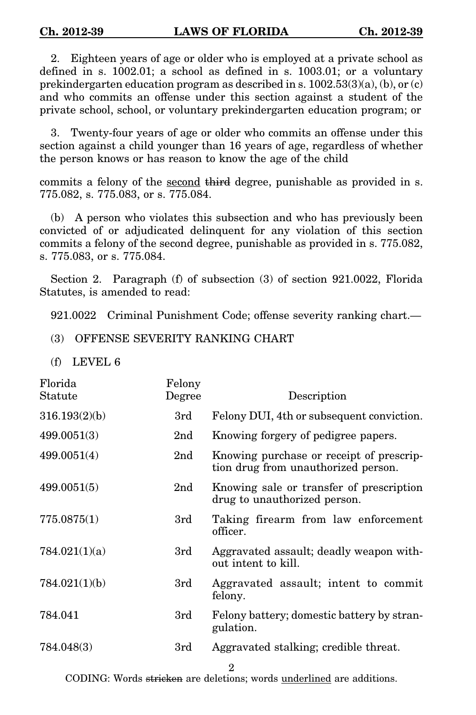2. Eighteen years of age or older who is employed at a private school as defined in s. 1002.01; a school as defined in s. 1003.01; or a voluntary prekindergarten education program as described in s.  $1002.53(3)(a)$ , (b), or (c) and who commits an offense under this section against a student of the private school, school, or voluntary prekindergarten education program; or

3. Twenty-four years of age or older who commits an offense under this section against a child younger than 16 years of age, regardless of whether the person knows or has reason to know the age of the child

commits a felony of the second third degree, punishable as provided in s. 775.082, s. 775.083, or s. 775.084.

(b) A person who violates this subsection and who has previously been convicted of or adjudicated delinquent for any violation of this section commits a felony of the second degree, punishable as provided in s. 775.082, s. 775.083, or s. 775.084.

Section 2. Paragraph (f) of subsection (3) of section 921.0022, Florida Statutes, is amended to read:

921.0022 Criminal Punishment Code; offense severity ranking chart.—

(3) OFFENSE SEVERITY RANKING CHART

(f) LEVEL 6

| Florida<br>Statute | Felony<br>Degree | Description                                                                     |
|--------------------|------------------|---------------------------------------------------------------------------------|
| 316.193(2)(b)      | 3rd              | Felony DUI, 4th or subsequent conviction.                                       |
| 499.0051(3)        | 2 <sub>nd</sub>  | Knowing forgery of pedigree papers.                                             |
| 499.0051(4)        | 2 <sub>nd</sub>  | Knowing purchase or receipt of prescrip-<br>tion drug from unauthorized person. |
| 499.0051(5)        | 2 <sub>nd</sub>  | Knowing sale or transfer of prescription<br>drug to unauthorized person.        |
| 775.0875(1)        | 3rd              | Taking firearm from law enforcement<br>officer.                                 |
| 784.021(1)(a)      | 3rd              | Aggravated assault; deadly weapon with-<br>out intent to kill.                  |
| 784.021(1)(b)      | 3rd              | Aggravated assault; intent to commit<br>felony.                                 |
| 784.041            | 3rd              | Felony battery; domestic battery by stran-<br>gulation.                         |
| 784.048(3)         | 3rd              | Aggravated stalking; credible threat.                                           |
|                    |                  | 2                                                                               |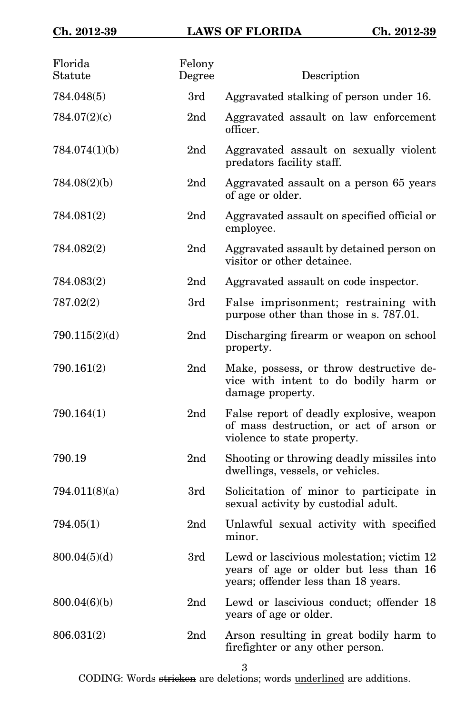| Florida<br>Statute | Felony<br>Degree | Description                                                                                                                |
|--------------------|------------------|----------------------------------------------------------------------------------------------------------------------------|
| 784.048(5)         | 3rd              | Aggravated stalking of person under 16.                                                                                    |
| 784.07(2)(c)       | 2 <sub>nd</sub>  | Aggravated assault on law enforcement<br>officer.                                                                          |
| 784.074(1)(b)      | 2 <sub>nd</sub>  | Aggravated assault on sexually violent<br>predators facility staff.                                                        |
| 784.08(2)(b)       | 2nd              | Aggravated assault on a person 65 years<br>of age or older.                                                                |
| 784.081(2)         | 2nd              | Aggravated assault on specified official or<br>employee.                                                                   |
| 784.082(2)         | 2nd              | Aggravated assault by detained person on<br>visitor or other detainee.                                                     |
| 784.083(2)         | 2nd              | Aggravated assault on code inspector.                                                                                      |
| 787.02(2)          | 3rd              | False imprisonment; restraining with<br>purpose other than those in s. 787.01.                                             |
| 790.115(2)(d)      | 2nd              | Discharging firearm or weapon on school<br>property.                                                                       |
| 790.161(2)         | 2 <sub>nd</sub>  | Make, possess, or throw destructive de-<br>vice with intent to do bodily harm or<br>damage property.                       |
| 790.164(1)         | 2 <sub>nd</sub>  | False report of deadly explosive, weapon<br>of mass destruction, or act of arson or<br>violence to state property.         |
| 790.19             | 2 <sub>nd</sub>  | Shooting or throwing deadly missiles into<br>dwellings, vessels, or vehicles.                                              |
| 794.011(8)(a)      | 3rd              | Solicitation of minor to participate in<br>sexual activity by custodial adult.                                             |
| 794.05(1)          | 2 <sub>nd</sub>  | Unlawful sexual activity with specified<br>minor.                                                                          |
| 800.04(5)(d)       | 3rd              | Lewd or lascivious molestation; victim 12<br>years of age or older but less than 16<br>years; offender less than 18 years. |
| 800.04(6)(b)       | 2nd              | Lewd or lascivious conduct; offender 18<br>years of age or older.                                                          |
| 806.031(2)         | 2nd              | Arson resulting in great bodily harm to<br>firefighter or any other person.                                                |

3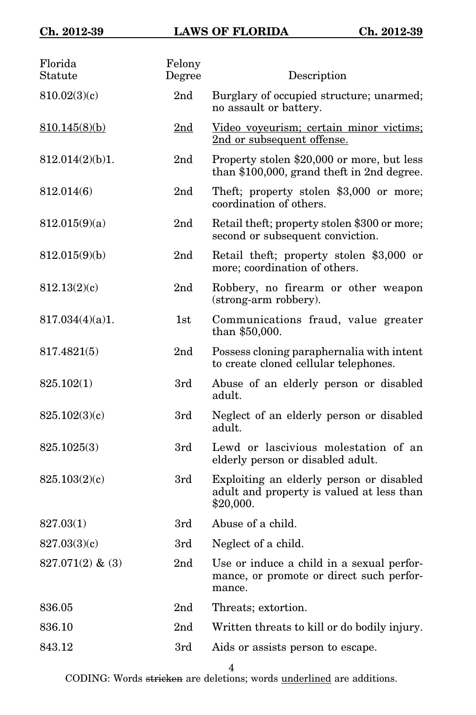| Florida<br>Statute | Felony<br>Degree | Description                                                                                        |
|--------------------|------------------|----------------------------------------------------------------------------------------------------|
| 810.02(3)(c)       | 2nd              | Burglary of occupied structure; unarmed;<br>no assault or battery.                                 |
| 810.145(8)(b)      | 2 <sub>nd</sub>  | Video voyeurism; certain minor victims;<br>2nd or subsequent offense.                              |
| 812.014(2)(b)1.    | 2nd              | Property stolen \$20,000 or more, but less<br>than $$100,000$ , grand theft in 2nd degree.         |
| 812.014(6)         | 2 <sub>nd</sub>  | Theft; property stolen \$3,000 or more;<br>coordination of others.                                 |
| 812.015(9)(a)      | 2 <sub>nd</sub>  | Retail theft; property stolen \$300 or more;<br>second or subsequent conviction.                   |
| 812.015(9)(b)      | 2nd              | Retail theft; property stolen \$3,000 or<br>more; coordination of others.                          |
| 812.13(2)(c)       | 2nd              | Robbery, no firearm or other weapon<br>(strong-arm robbery).                                       |
| 817.034(4)(a)1.    | 1st              | Communications fraud, value greater<br>than \$50,000.                                              |
| 817.4821(5)        | 2nd              | Possess cloning paraphernalia with intent<br>to create cloned cellular telephones.                 |
| 825.102(1)         | 3rd              | Abuse of an elderly person or disabled<br>adult.                                                   |
| 825.102(3)(c)      | 3rd              | Neglect of an elderly person or disabled<br>adult.                                                 |
| 825.1025(3)        | 3rd              | Lewd or lascivious molestation of an<br>elderly person or disabled adult.                          |
| 825.103(2)(c)      | 3rd              | Exploiting an elderly person or disabled<br>adult and property is valued at less than<br>\$20,000. |
| 827.03(1)          | 3rd              | Abuse of a child.                                                                                  |
| 827.03(3)(c)       | 3rd              | Neglect of a child.                                                                                |
| $827.071(2)$ & (3) | 2nd              | Use or induce a child in a sexual perfor-<br>mance, or promote or direct such perfor-<br>mance.    |
| 836.05             | 2nd              | Threats; extortion.                                                                                |
| 836.10             | 2nd              | Written threats to kill or do bodily injury.                                                       |
| 843.12             | 3rd              | Aids or assists person to escape.                                                                  |

4